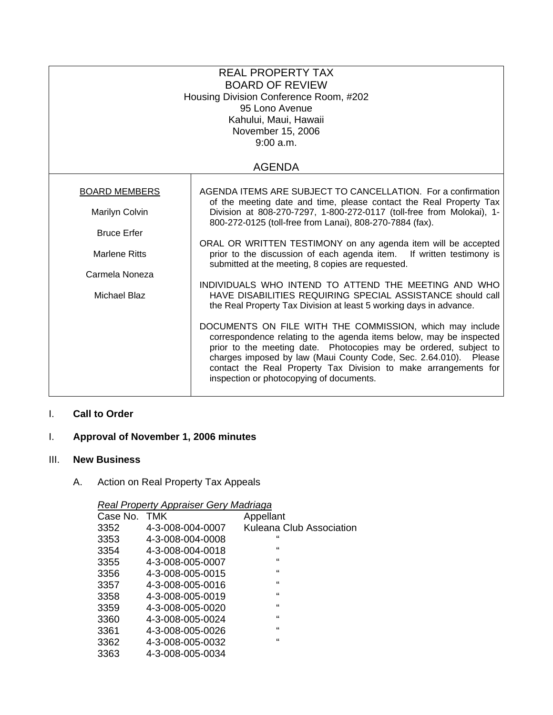| <b>REAL PROPERTY TAX</b><br><b>BOARD OF REVIEW</b><br>Housing Division Conference Room, #202<br>95 Lono Avenue<br>Kahului, Maui, Hawaii<br>November 15, 2006<br>9:00 a.m. |                                                                                                                                                                                                                                                                                                                                                                                         |  |  |  |  |
|---------------------------------------------------------------------------------------------------------------------------------------------------------------------------|-----------------------------------------------------------------------------------------------------------------------------------------------------------------------------------------------------------------------------------------------------------------------------------------------------------------------------------------------------------------------------------------|--|--|--|--|
| <b>AGENDA</b>                                                                                                                                                             |                                                                                                                                                                                                                                                                                                                                                                                         |  |  |  |  |
| <b>BOARD MEMBERS</b>                                                                                                                                                      | AGENDA ITEMS ARE SUBJECT TO CANCELLATION. For a confirmation                                                                                                                                                                                                                                                                                                                            |  |  |  |  |
| Marilyn Colvin<br><b>Bruce Erfer</b><br><b>Marlene Ritts</b><br>Carmela Noneza<br><b>Michael Blaz</b>                                                                     | of the meeting date and time, please contact the Real Property Tax<br>Division at 808-270-7297, 1-800-272-0117 (toll-free from Molokai), 1-<br>800-272-0125 (toll-free from Lanai), 808-270-7884 (fax).                                                                                                                                                                                 |  |  |  |  |
|                                                                                                                                                                           |                                                                                                                                                                                                                                                                                                                                                                                         |  |  |  |  |
|                                                                                                                                                                           | ORAL OR WRITTEN TESTIMONY on any agenda item will be accepted<br>prior to the discussion of each agenda item. If written testimony is<br>submitted at the meeting, 8 copies are requested.                                                                                                                                                                                              |  |  |  |  |
|                                                                                                                                                                           | INDIVIDUALS WHO INTEND TO ATTEND THE MEETING AND WHO                                                                                                                                                                                                                                                                                                                                    |  |  |  |  |
|                                                                                                                                                                           | HAVE DISABILITIES REQUIRING SPECIAL ASSISTANCE should call<br>the Real Property Tax Division at least 5 working days in advance.                                                                                                                                                                                                                                                        |  |  |  |  |
|                                                                                                                                                                           | DOCUMENTS ON FILE WITH THE COMMISSION, which may include<br>correspondence relating to the agenda items below, may be inspected<br>prior to the meeting date. Photocopies may be ordered, subject to<br>charges imposed by law (Maui County Code, Sec. 2.64.010). Please<br>contact the Real Property Tax Division to make arrangements for<br>inspection or photocopying of documents. |  |  |  |  |

## I. **Call to Order**

# I. **Approval of November 1, 2006 minutes**

#### III. **New Business**

# A. Action on Real Property Tax Appeals

#### *Real Property Appraiser Gery Madriaga*

| Case No. | <b>TMK</b>       | Appellant                |
|----------|------------------|--------------------------|
| 3352     | 4-3-008-004-0007 | Kuleana Club Association |
| 3353     | 4-3-008-004-0008 | "                        |
| 3354     | 4-3-008-004-0018 | $\mathbf{G}$             |
| 3355     | 4-3-008-005-0007 | $\mathbf{G}$             |
| 3356     | 4-3-008-005-0015 | $\mathbf{G}$             |
| 3357     | 4-3-008-005-0016 | $\mathbf{G}$             |
| 3358     | 4-3-008-005-0019 | $\mathbf{G}$             |
| 3359     | 4-3-008-005-0020 | $\mathbf{G}$             |
| 3360     | 4-3-008-005-0024 | $\mathbf{G}$             |
| 3361     | 4-3-008-005-0026 | $\mathbf{G}$             |
| 3362     | 4-3-008-005-0032 | $\mathbf{G}$             |
| 3363     | 4-3-008-005-0034 |                          |
|          |                  |                          |